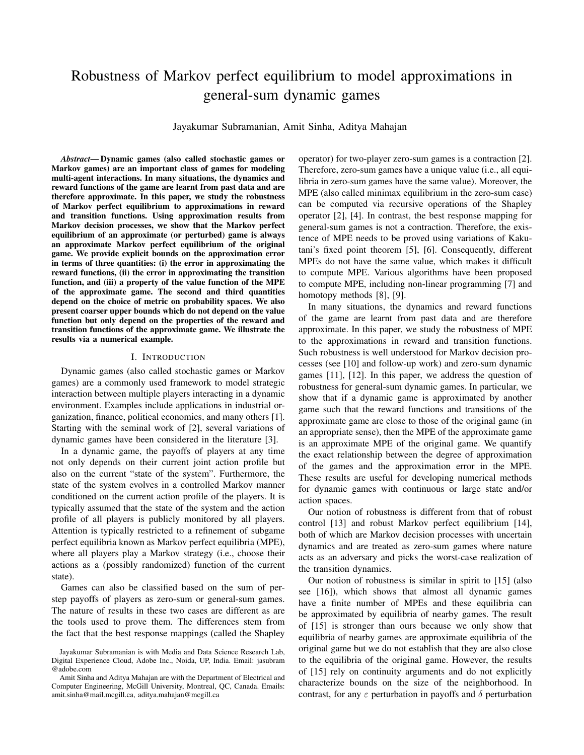# Robustness of Markov perfect equilibrium to model approximations in general-sum dynamic games

Jayakumar Subramanian, Amit Sinha, Aditya Mahajan

*Abstract*— Dynamic games (also called stochastic games or Markov games) are an important class of games for modeling multi-agent interactions. In many situations, the dynamics and reward functions of the game are learnt from past data and are therefore approximate. In this paper, we study the robustness of Markov perfect equilibrium to approximations in reward and transition functions. Using approximation results from Markov decision processes, we show that the Markov perfect equilibrium of an approximate (or perturbed) game is always an approximate Markov perfect equilibrium of the original game. We provide explicit bounds on the approximation error in terms of three quantities: (i) the error in approximating the reward functions, (ii) the error in approximating the transition function, and (iii) a property of the value function of the MPE of the approximate game. The second and third quantities depend on the choice of metric on probability spaces. We also present coarser upper bounds which do not depend on the value function but only depend on the properties of the reward and transition functions of the approximate game. We illustrate the results via a numerical example.

#### I. INTRODUCTION

Dynamic games (also called stochastic games or Markov games) are a commonly used framework to model strategic interaction between multiple players interacting in a dynamic environment. Examples include applications in industrial organization, finance, political economics, and many others [1]. Starting with the seminal work of [2], several variations of dynamic games have been considered in the literature [3].

In a dynamic game, the payoffs of players at any time not only depends on their current joint action profile but also on the current "state of the system". Furthermore, the state of the system evolves in a controlled Markov manner conditioned on the current action profile of the players. It is typically assumed that the state of the system and the action profile of all players is publicly monitored by all players. Attention is typically restricted to a refinement of subgame perfect equilibria known as Markov perfect equilibria (MPE), where all players play a Markov strategy (i.e., choose their actions as a (possibly randomized) function of the current state).

Games can also be classified based on the sum of perstep payoffs of players as zero-sum or general-sum games. The nature of results in these two cases are different as are the tools used to prove them. The differences stem from the fact that the best response mappings (called the Shapley operator) for two-player zero-sum games is a contraction [2]. Therefore, zero-sum games have a unique value (i.e., all equilibria in zero-sum games have the same value). Moreover, the MPE (also called minimax equilibrium in the zero-sum case) can be computed via recursive operations of the Shapley operator [2], [4]. In contrast, the best response mapping for general-sum games is not a contraction. Therefore, the existence of MPE needs to be proved using variations of Kakutani's fixed point theorem [5], [6]. Consequently, different MPEs do not have the same value, which makes it difficult to compute MPE. Various algorithms have been proposed to compute MPE, including non-linear programming [7] and homotopy methods [8], [9].

In many situations, the dynamics and reward functions of the game are learnt from past data and are therefore approximate. In this paper, we study the robustness of MPE to the approximations in reward and transition functions. Such robustness is well understood for Markov decision processes (see [10] and follow-up work) and zero-sum dynamic games [11], [12]. In this paper, we address the question of robustness for general-sum dynamic games. In particular, we show that if a dynamic game is approximated by another game such that the reward functions and transitions of the approximate game are close to those of the original game (in an appropriate sense), then the MPE of the approximate game is an approximate MPE of the original game. We quantify the exact relationship between the degree of approximation of the games and the approximation error in the MPE. These results are useful for developing numerical methods for dynamic games with continuous or large state and/or action spaces.

Our notion of robustness is different from that of robust control [13] and robust Markov perfect equilibrium [14], both of which are Markov decision processes with uncertain dynamics and are treated as zero-sum games where nature acts as an adversary and picks the worst-case realization of the transition dynamics.

Our notion of robustness is similar in spirit to [15] (also see [16]), which shows that almost all dynamic games have a finite number of MPEs and these equilibria can be approximated by equilibria of nearby games. The result of [15] is stronger than ours because we only show that equilibria of nearby games are approximate equilibria of the original game but we do not establish that they are also close to the equilibria of the original game. However, the results of [15] rely on continuity arguments and do not explicitly characterize bounds on the size of the neighborhood. In contrast, for any  $\varepsilon$  perturbation in payoffs and  $\delta$  perturbation

Jayakumar Subramanian is with Media and Data Science Research Lab, Digital Experience Cloud, Adobe Inc., Noida, UP, India. Email: jasubram @adobe.com

Amit Sinha and Aditya Mahajan are with the Department of Electrical and Computer Engineering, McGill University, Montreal, QC, Canada. Emails: amit.sinha@mail.mcgill.ca, aditya.mahajan@mcgill.ca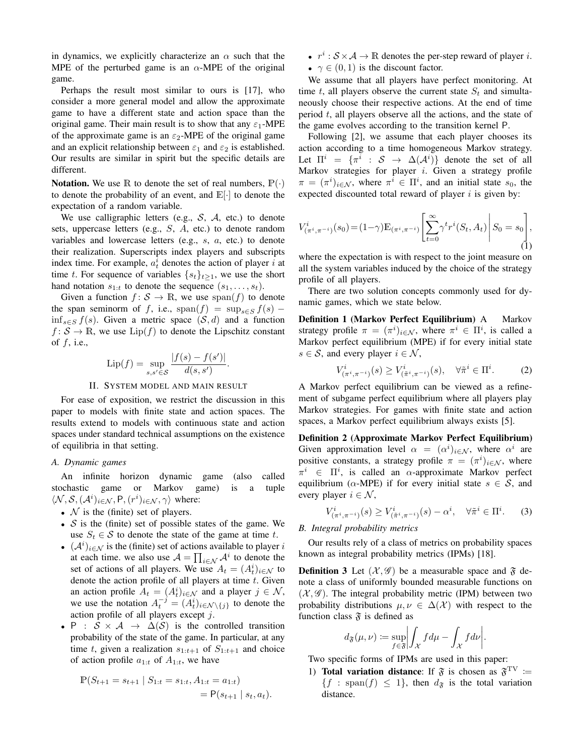in dynamics, we explicitly characterize an  $\alpha$  such that the MPE of the perturbed game is an  $\alpha$ -MPE of the original game.

Perhaps the result most similar to ours is [17], who consider a more general model and allow the approximate game to have a different state and action space than the original game. Their main result is to show that any  $\varepsilon_1$ -MPE of the approximate game is an  $\varepsilon_2$ -MPE of the original game and an explicit relationship between  $\varepsilon_1$  and  $\varepsilon_2$  is established. Our results are similar in spirit but the specific details are different.

**Notation.** We use R to denote the set of real numbers,  $\mathbb{P}(\cdot)$ to denote the probability of an event, and  $\mathbb{E}[\cdot]$  to denote the expectation of a random variable.

We use calligraphic letters (e.g.,  $S$ ,  $A$ , etc.) to denote sets, uppercase letters (e.g., S, A, etc.) to denote random variables and lowercase letters (e.g., s, a, etc.) to denote their realization. Superscripts index players and subscripts index time. For example,  $a_t^i$  denotes the action of player i at time t. For sequence of variables  $\{s_t\}_{t>1}$ , we use the short hand notation  $s_{1:t}$  to denote the sequence  $(s_1, \ldots, s_t)$ .

Given a function  $f: \mathcal{S} \to \mathbb{R}$ , we use  $\text{span}(f)$  to denote the span seminorm of f, i.e., span $(f) = \sup_{s \in S} f(s)$  – inf<sub>s∈S</sub>  $f(s)$ . Given a metric space  $(S, d)$  and a function  $f: \mathcal{S} \to \mathbb{R}$ , we use  $\text{Lip}(f)$  to denote the Lipschitz constant of  $f$ , i.e.,

$$
\text{Lip}(f) = \sup_{s, s' \in \mathcal{S}} \frac{|f(s) - f(s')|}{d(s, s')}.
$$

#### II. SYSTEM MODEL AND MAIN RESULT

For ease of exposition, we restrict the discussion in this paper to models with finite state and action spaces. The results extend to models with continuous state and action spaces under standard technical assumptions on the existence of equilibria in that setting.

## *A. Dynamic games*

An infinite horizon dynamic game (also called stochastic game or Markov game) is a tuple  $\langle \mathcal{N}, \mathcal{S}, (\mathcal{A}^i)_{i \in \mathcal{N}}, P, (r^i)_{i \in \mathcal{N}}, \gamma \rangle$  where:

- $\mathcal N$  is the (finite) set of players.
- $S$  is the (finite) set of possible states of the game. We use  $S_t \in \mathcal{S}$  to denote the state of the game at time t.
- $(A<sup>i</sup>)_{i \in \mathcal{N}}$  is the (finite) set of actions available to player i at each time. we also use  $\mathcal{A} = \prod_{i \in \mathcal{N}} \mathcal{A}^i$  to denote the set of actions of all players. We use  $A_t = (A_t^i)_{i \in \mathcal{N}}$  to denote the action profile of all players at time  $t$ . Given an action profile  $A_t = (A_t^i)_{i \in \mathcal{N}}$  and a player  $j \in \mathcal{N}$ , we use the notation  $A_t^{-j} = (A_t^i)_{i \in \mathcal{N} \setminus \{j\}}$  to denote the action profile of all players except j.
- P :  $S \times A \rightarrow \Delta(S)$  is the controlled transition probability of the state of the game. In particular, at any time t, given a realization  $s_{1:t+1}$  of  $S_{1:t+1}$  and choice of action profile  $a_{1:t}$  of  $A_{1:t}$ , we have

$$
\mathbb{P}(S_{t+1} = s_{t+1} | S_{1:t} = s_{1:t}, A_{1:t} = a_{1:t})
$$
  
=  $\mathbb{P}(s_{t+1} | s_t, a_t).$ 

- $r^i : S \times A \rightarrow \mathbb{R}$  denotes the per-step reward of player i.
- $\gamma \in (0, 1)$  is the discount factor.

We assume that all players have perfect monitoring. At time t, all players observe the current state  $S_t$  and simultaneously choose their respective actions. At the end of time period  $t$ , all players observe all the actions, and the state of the game evolves according to the transition kernel P.

Following [2], we assume that each player chooses its action according to a time homogeneous Markov strategy. Let  $\Pi^i = \{ \pi^i : S \to \Delta(\mathcal{A}^i) \}$  denote the set of all Markov strategies for player  $i$ . Given a strategy profile  $\pi = (\pi^i)_{i \in \mathcal{N}}$ , where  $\pi^i \in \Pi^i$ , and an initial state  $s_0$ , the expected discounted total reward of player  $i$  is given by:

$$
V_{(\pi^i, \pi^{-i})}^i(s_0) = (1 - \gamma) \mathbb{E}_{(\pi^i, \pi^{-i})} \left[ \sum_{t=0}^{\infty} \gamma^t r^i(S_t, A_t) \middle| S_0 = s_0 \right],
$$
 (1)

where the expectation is with respect to the joint measure on all the system variables induced by the choice of the strategy profile of all players.

There are two solution concepts commonly used for dynamic games, which we state below.

Definition 1 (Markov Perfect Equilibrium) A Markov strategy profile  $\pi = (\pi^i)_{i \in \mathcal{N}}$ , where  $\pi^i \in \Pi^i$ , is called a Markov perfect equilibrium (MPE) if for every initial state  $s \in \mathcal{S}$ , and every player  $i \in \mathcal{N}$ ,

$$
V^i_{(\pi^i, \pi^{-i})}(s) \ge V^i_{(\tilde{\pi}^i, \pi^{-i})}(s), \quad \forall \tilde{\pi}^i \in \Pi^i. \tag{2}
$$

A Markov perfect equilibrium can be viewed as a refinement of subgame perfect equilibrium where all players play Markov strategies. For games with finite state and action spaces, a Markov perfect equilibrium always exists [5].

Definition 2 (Approximate Markov Perfect Equilibrium) Given approximation level  $\alpha = (\alpha^i)_{i \in \mathcal{N}}$ , where  $\alpha^i$  are positive constants, a strategy profile  $\pi = (\pi^i)_{i \in \mathcal{N}}$ , where  $\pi^i \in \Pi^i$ , is called an  $\alpha$ -approximate Markov perfect equilibrium ( $\alpha$ -MPE) if for every initial state  $s \in S$ , and every player  $i \in \mathcal{N}$ ,

$$
V^i_{(\pi^i, \pi^{-i})}(s) \ge V^i_{(\tilde{\pi}^i, \pi^{-i})}(s) - \alpha^i, \quad \forall \tilde{\pi}^i \in \Pi^i. \tag{3}
$$

## *B. Integral probability metrics*

Our results rely of a class of metrics on probability spaces known as integral probability metrics (IPMs) [18].

**Definition 3** Let  $(\mathcal{X}, \mathcal{G})$  be a measurable space and  $\mathcal{F}$  denote a class of uniformly bounded measurable functions on  $(X, \mathscr{G})$ . The integral probability metric (IPM) between two probability distributions  $\mu, \nu \in \Delta(\mathcal{X})$  with respect to the function class  $\mathfrak F$  is defined as

$$
d_{\mathfrak{F}}(\mu,\nu) := \sup_{f \in \mathfrak{F}} \left| \int_{\mathcal{X}} f d\mu - \int_{\mathcal{X}} f d\nu \right|.
$$

Two specific forms of IPMs are used in this paper:

1) Total variation distance: If  $\mathfrak{F}$  is chosen as  $\mathfrak{F}^{\mathrm{TV}}$  :=  ${f : \text{span}(f) \leq 1}, \text{ then } d_{\mathfrak{F}} \text{ is the total variation}$ distance.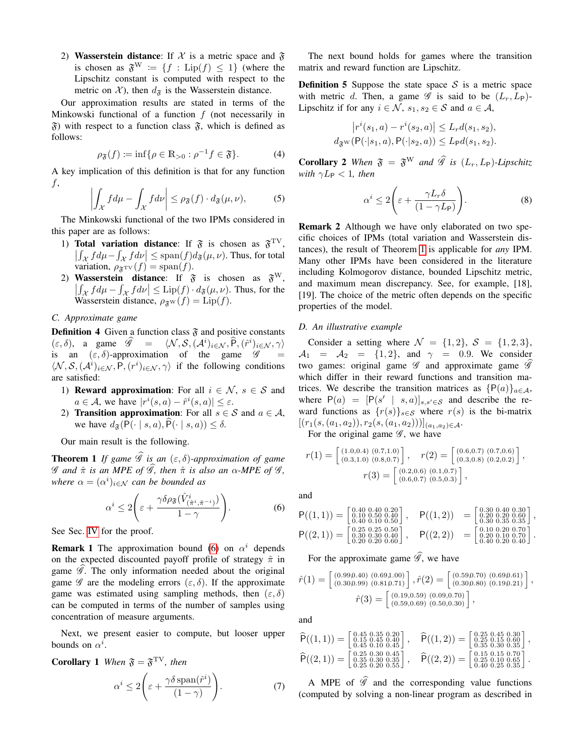2) Wasserstein distance: If X is a metric space and  $\mathfrak F$ is chosen as  $\mathfrak{F}^W := \{f : \text{Lip}(f) \leq 1\}$  (where the Lipschitz constant is computed with respect to the metric on  $\mathcal{X}$ ), then  $d_{\mathfrak{F}}$  is the Wasserstein distance.

Our approximation results are stated in terms of the Minkowski functional of a function  $f$  (not necessarily in  $\mathfrak{F}$ ) with respect to a function class  $\mathfrak{F}$ , which is defined as follows:

$$
\rho_{\mathfrak{F}}(f) := \inf \{ \rho \in \mathbb{R}_{>0} : \rho^{-1} f \in \mathfrak{F} \}.
$$
 (4)

A key implication of this definition is that for any function <sup>f</sup>, 

$$
\left| \int_{\mathcal{X}} f d\mu - \int_{\mathcal{X}} f d\nu \right| \leq \rho_{\mathfrak{F}}(f) \cdot d_{\mathfrak{F}}(\mu, \nu), \tag{5}
$$

The Minkowski functional of the two IPMs considered in this paper are as follows:

- 1) Total variation distance: If  $\mathfrak{F}$  is chosen as  $\mathfrak{F}^{\mathrm{TV}},$  $\left|\int_{\mathcal{X}} f d\mu - \int_{\mathcal{X}} f d\nu\right| \leq \text{span}(f) d_{\mathfrak{F}}(\mu, \nu)$ . Thus, for total variation,  $\rho_{\mathfrak{F}^{\text{TV}}}(f) = \text{span}(f)$ .
- 2) Wasserstein distance: If  $\mathfrak{F}$  is chosen as  $\mathfrak{F}^W$ ,  $\left|\int_{\mathcal{X}} f d\mu - \int_{\mathcal{X}} f d\nu\right| \leq \text{Lip}(f) \cdot d_{\mathfrak{F}}(\mu, \nu)$ . Thus, for the Wasserstein distance,  $\rho_{\mathfrak{F}^W}(f) = \text{Lip}(f)$ .

## *C. Approximate game*

**Definition 4** Given a function class  $\tilde{\mathfrak{F}}$  and positive constants  $(\varepsilon, \delta)$ , a game  $\widehat{\mathscr{G}} = \langle \mathcal{N}, \mathcal{S}, (\mathcal{A}^i)_{i \in \mathcal{N}}, \widehat{P}, (\widehat{r}^i)_{i \in \mathcal{N}}, \gamma \rangle$ is an  $(\varepsilon, \delta)$ -approximation of the game  $\mathscr{G}$  =  $\langle N, \mathcal{S}, (\mathcal{A}^i)_{i \in \mathcal{N}}, P, (r^i)_{i \in \mathcal{N}}, \gamma \rangle$  if the following conditions are satisfied:

- 1) **Reward approximation:** For all  $i \in \mathcal{N}$ ,  $s \in \mathcal{S}$  and  $a \in \mathcal{A}$ , we have  $|r^{i}(s, a) - \hat{r}^{i}(s, a)| \leq \varepsilon$ .
- 2) **Transition approximation:** For all  $s \in S$  and  $a \in A$ , we have  $d_{\mathfrak{F}}(P(\cdot \mid s, a), \widehat{P}(\cdot \mid s, a)) \leq \delta$ .

Our main result is the following.

<span id="page-2-1"></span>**Theorem 1** *If game*  $\mathscr G$  *is an*  $(\varepsilon, \delta)$ *-approximation of game*  $\mathscr G$  and  $\hat{\pi}$  *is an MPE of*  $\widehat{\mathscr G}$ *, then*  $\hat{\pi}$  *is also an*  $\alpha$ *-MPE of*  $\mathscr G$ *, where*  $\alpha = (\alpha^i)_{i \in \mathcal{N}}$  *can be bounded as* 

<span id="page-2-0"></span>
$$
\alpha^i \le 2\left(\varepsilon + \frac{\gamma \delta \rho_{\mathfrak{F}}(\hat{V}^i_{(\hat{\pi}^i, \hat{\pi}^{-i})})}{1 - \gamma}\right).
$$
 (6)

See Sec. [IV](#page-4-0) for the proof.

**Remark 1** The approximation bound [\(6\)](#page-2-0) on  $\alpha^{i}$  depends on the expected discounted payoff profile of strategy  $\hat{\pi}$  in game  $\mathscr G$ . The only information needed about the original game  $\mathscr G$  are the modeling errors  $(\varepsilon, \delta)$ . If the approximate game was estimated using sampling methods, then  $(\varepsilon, \delta)$ can be computed in terms of the number of samples using concentration of measure arguments.

Next, we present easier to compute, but looser upper bounds on  $\alpha^i$ .

**Corollary 1** When 
$$
\mathfrak{F} = \mathfrak{F}^{\text{TV}}
$$
, then  
\n
$$
\alpha^i \le 2 \bigg( \varepsilon + \frac{\gamma \delta \operatorname{span}(\hat{r}^i)}{(1 - \gamma)} \bigg). \tag{7}
$$

The next bound holds for games where the transition matrix and reward function are Lipschitz.

**Definition 5** Suppose the state space  $S$  is a metric space with metric d. Then, a game  $\mathscr G$  is said to be  $(L_r, L_P)$ -Lipschitz if for any  $i \in \mathcal{N}$ ,  $s_1, s_2 \in \mathcal{S}$  and  $a \in \mathcal{A}$ ,

$$
\left| r^i(s_1, a) - r^i(s_2, a) \right| \le L_r d(s_1, s_2),
$$
  

$$
d_{\mathfrak{F}^{\mathcal{W}}}(\mathsf{P}(\cdot | s_1, a), \mathsf{P}(\cdot | s_2, a)) \le L_{\mathsf{P}} d(s_1, s_2).
$$

**Corollary 2** When  $\mathfrak{F} = \mathfrak{F}^W$  and  $\widehat{\mathcal{G}}$  is  $(L_r, L_P)$ *-Lipschitz with*  $\gamma L_P < 1$ *, then* 

$$
\alpha^i \le 2\left(\varepsilon + \frac{\gamma L_r \delta}{(1 - \gamma L_{\rm P})}\right). \tag{8}
$$

Remark 2 Although we have only elaborated on two specific choices of IPMs (total variation and Wasserstein distances), the result of Theorem [1](#page-2-1) is applicable for *any* IPM. Many other IPMs have been considered in the literature including Kolmogorov distance, bounded Lipschitz metric, and maximum mean discrepancy. See, for example, [18], [19]. The choice of the metric often depends on the specific properties of the model.

## *D. An illustrative example*

Consider a setting where  $\mathcal{N} = \{1, 2\}$ ,  $\mathcal{S} = \{1, 2, 3\}$ ,  $A_1 = A_2 = \{1, 2\}$ , and  $\gamma = 0.9$ . We consider two games: original game  $\mathscr G$  and approximate game  $\mathscr G$ which differ in their reward functions and transition matrices. We describe the transition matrices as  $\{P(a)\}_{a\in\mathcal{A}}$ , where  $P(a) = [P(s' | s, a)]_{s, s' \in S}$  and describe the reward functions as  $\{r(s)\}_{s\in\mathcal{S}}$  where  $r(s)$  is the bi-matrix  $[(r_1(s,(a_1,a_2)), r_2(s,(a_1,a_2))]_{(a_1,a_2)\in \mathcal{A}}.$ 

For the original game  $\mathscr{G}$ , we have

$$
r(1) = \begin{bmatrix} (1.0, 0.4) & (0.7, 1.0) \\ (0.3, 1.0) & (0.8, 0.7) \end{bmatrix}, \quad r(2) = \begin{bmatrix} (0.6, 0.7) & (0.7, 0.6) \\ (0.3, 0.8) & (0.2, 0.2) \end{bmatrix},
$$

$$
r(3) = \begin{bmatrix} (0.2, 0.6) & (0.1, 0.7) \\ (0.6, 0.7) & (0.5, 0.3) \end{bmatrix},
$$

and

$$
P((1,1)) = \begin{bmatrix} 0.40 & 0.40 & 0.20 \\ 0.10 & 0.50 & 0.40 \\ 0.40 & 0.10 & 0.50 \end{bmatrix}, \quad P((1,2)) = \begin{bmatrix} 0.30 & 0.40 & 0.30 \\ 0.20 & 0.20 & 0.40 & 0.30 \\ 0.30 & 0.35 & 0.35 \end{bmatrix},
$$
  
\n
$$
P((2,1)) = \begin{bmatrix} 0.25 & 0.25 & 0.50 \\ 0.30 & 0.30 & 0.30 \\ 0.20 & 0.20 & 0.60 \end{bmatrix}, \quad P((2,2)) = \begin{bmatrix} 0.10 & 0.20 & 0.70 \\ 0.20 & 0.10 & 0.20 \\ 0.40 & 0.20 & 0.40 \end{bmatrix}.
$$

For the approximate game  $\widehat{\mathscr{G}}$ , we have

$$
\hat{r}(1) = \begin{bmatrix} (0.999.40) & (0.691.00) \\ (0.309.99) & (0.819.71) \end{bmatrix}, \hat{r}(2) = \begin{bmatrix} (0.599.70) & (0.699.61) \\ (0.309.80) & (0.199.21) \end{bmatrix},
$$
\n
$$
\hat{r}(3) = \begin{bmatrix} (0.19, 0.59) & (0.09, 0.70) \\ (0.59, 0.69) & (0.50, 0.30) \end{bmatrix},
$$

and

$$
\widehat{\mathsf{P}}((1,1)) = \begin{bmatrix} 0.45 & 0.35 & 0.20 \\ 0.45 & 0.45 & 0.40 \\ 0.45 & 0.10 & 0.45 \end{bmatrix}, \quad \widehat{\mathsf{P}}((1,2)) = \begin{bmatrix} 0.25 & 0.45 & 0.30 \\ 0.25 & 0.15 & 0.60 \\ 0.35 & 0.30 & 0.35 \end{bmatrix},
$$
  
\n
$$
\widehat{\mathsf{P}}((2,1)) = \begin{bmatrix} 0.25 & 0.30 & 0.45 \\ 0.25 & 0.30 & 0.35 \\ 0.25 & 0.20 & 0.55 \end{bmatrix}, \quad \widehat{\mathsf{P}}((2,2)) = \begin{bmatrix} 0.15 & 0.15 & 0.70 \\ 0.25 & 0.10 & 0.65 \\ 0.40 & 0.25 & 0.35 \end{bmatrix}.
$$

A MPE of  $\hat{\mathscr{G}}$  and the corresponding value functions (computed by solving a non-linear program as described in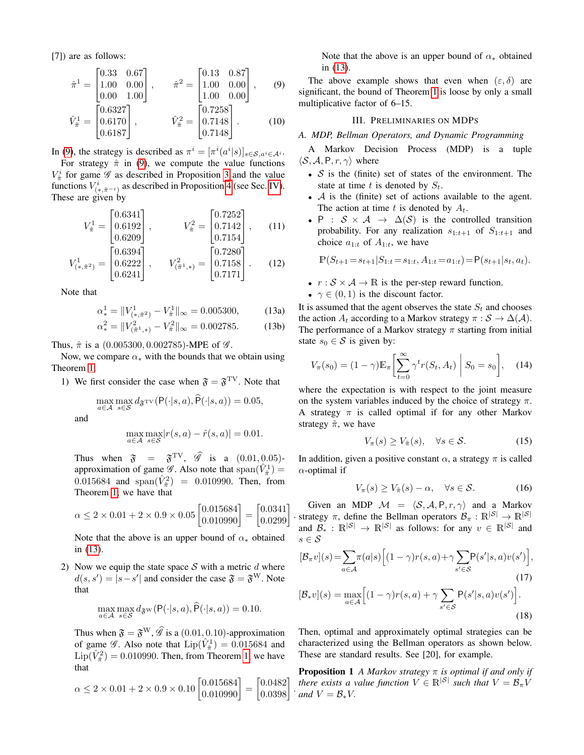[7]) are as follows:

$$
\hat{\pi}^{1} = \begin{bmatrix} 0.33 & 0.67 \\ 1.00 & 0.00 \\ 0.00 & 1.00 \end{bmatrix}, \qquad \hat{\pi}^{2} = \begin{bmatrix} 0.13 & 0.87 \\ 1.00 & 0.00 \\ 1.00 & 0.00 \end{bmatrix}, \qquad (9)
$$

$$
\hat{V}_{\hat{\pi}}^{1} = \begin{bmatrix} 0.6327 \\ 0.6170 \\ 0.6187 \end{bmatrix}, \qquad \hat{V}_{\hat{\pi}}^{2} = \begin{bmatrix} 0.7258 \\ 0.7148 \\ 0.7148 \end{bmatrix}. \qquad (10)
$$

In [\(9\)](#page-3-0), the strategy is described as  $\pi^{i} = [\pi^{i}(a^{i}|s)]_{s \in S, a^{i} \in A^{i}}$ .

For strategy  $\hat{\pi}$  in [\(9\)](#page-3-0), we compute the value functions  $V^i_{\hat{\pi}}$  for game  $\mathscr G$  as described in Proposition [3](#page-4-1) and the value functions  $V^i_{(*,\hat{\pi}^{-i})}$  as described in Proposition [4](#page-4-2) (see Sec. [IV\)](#page-4-0). These are given by

$$
V_{\hat{\pi}}^1 = \begin{bmatrix} 0.6341 \\ 0.6192 \\ 0.6209 \end{bmatrix}, \qquad V_{\hat{\pi}}^2 = \begin{bmatrix} 0.7252 \\ 0.7142 \\ 0.7154 \end{bmatrix}, \qquad (11)
$$

$$
V_{(*,\hat{\pi}^2)}^1 = \begin{bmatrix} 0.6394 \\ 0.6222 \\ 0.6241 \end{bmatrix}, \qquad V_{(\hat{\pi}^1,*)}^2 = \begin{bmatrix} 0.7280 \\ 0.7158 \\ 0.7171 \end{bmatrix}. \tag{12}
$$

Note that

<span id="page-3-1"></span>
$$
\alpha_*^1 = \|V_{(*,\hat{\pi}^2)}^1 - V_{\hat{\pi}}^1\|_{\infty} = 0.005300, \quad (13a)
$$

$$
\alpha_*^2 = \|V_{(\hat{\pi}^1,*)}^2 - V_{\hat{\pi}}^2\|_{\infty} = 0.002785. \tag{13b}
$$

Thus,  $\hat{\pi}$  is a (0.005300, 0.002785)-MPE of  $\mathscr{G}$ .

Now, we compare  $\alpha_*$  with the bounds that we obtain using Theorem [1.](#page-2-1)

1) We first consider the case when  $\mathfrak{F} = \mathfrak{F}^{\mathrm{TV}}$ . Note that

$$
\max_{a \in \mathcal{A}} \max_{s \in \mathcal{S}} d_{\mathfrak{F}^{\text{TV}}}(\mathsf{P}(\cdot|s, a), \widehat{\mathsf{P}}(\cdot|s, a)) = 0.05,
$$

and

$$
\max_{a \in \mathcal{A}} \max_{s \in \mathcal{S}} |r(s, a) - \hat{r}(s, a)| = 0.01.
$$

Thus when  $\mathfrak{F} = \mathfrak{F}^{\text{TV}}$ ,  $\hat{\mathscr{G}}$  is a  $(0.01, 0.05)$ approximation of game  $\mathscr{G}$ . Also note that  $\text{span}(\hat{V}^1_{\hat{\pi}})$  = 0.015684 and span $(\hat{V}_{\hat{\pi}}^2)$  = 0.010990. Then, from Theorem [1,](#page-2-1) we have that

$$
\alpha \le 2 \times 0.01 + 2 \times 0.9 \times 0.05 \begin{bmatrix} 0.015684 \\ 0.010990 \end{bmatrix} = \begin{bmatrix} 0.0341 \\ 0.0299 \end{bmatrix}
$$

Note that the above is an upper bound of  $\alpha_*$  obtained in [\(13\)](#page-3-1).

2) Now we equip the state space  $S$  with a metric  $d$  where  $d(s, s') = |s - s'|$  and consider the case  $\mathfrak{F} = \mathfrak{F}^{\mathbf{W}}$ . Note that

$$
\max_{a \in \mathcal{A}} \max_{s \in \mathcal{S}} d_{\mathfrak{F}^{\mathbf{W}}}(\mathsf{P}(\cdot|s, a), \mathsf{P}(\cdot|s, a)) = 0.10.
$$

Thus when  $\mathfrak{F} = \mathfrak{F}^{W}, \widehat{\mathscr{G}}$  is a (0.01, 0.10)-approximation of game  $\mathscr G$ . Also note that  $\text{Lip}(\hat{V}^1_{\hat{\pi}}) = 0.015684$  and  $\text{Lip}(\hat{V}_{\hat{\pi}}^2) = 0.010990$ . Then, from Theorem [1,](#page-2-1) we have that

$$
\alpha \le 2 \times 0.01 + 2 \times 0.9 \times 0.10 \begin{bmatrix} 0.015684 \\ 0.010990 \end{bmatrix} = \begin{bmatrix} 0.0482 \\ 0.0398 \end{bmatrix}
$$

<span id="page-3-3"></span>.

Note that the above is an upper bound of  $\alpha_*$  obtained in [\(13\)](#page-3-1).

<span id="page-3-0"></span>The above example shows that even when  $(\varepsilon, \delta)$  are significant, the bound of Theorem [1](#page-2-1) is loose by only a small multiplicative factor of 6–15.

## III. PRELIMINARIES ON MDPS

*A. MDP, Bellman Operators, and Dynamic Programming*

A Markov Decision Process (MDP) is a tuple  $\langle S, A, P, r, \gamma \rangle$  where

- $S$  is the (finite) set of states of the environment. The state at time t is denoted by  $S_t$ .
- $\mathcal A$  is the (finite) set of actions available to the agent. The action at time t is denoted by  $A_t$ .
- P :  $S \times A \rightarrow \Delta(S)$  is the controlled transition probability. For any realization  $s_{1:t+1}$  of  $S_{1:t+1}$  and choice  $a_{1:t}$  of  $A_{1:t}$ , we have

$$
\mathbb{P}(S_{t+1} = s_{t+1} | S_{1:t} = s_{1:t}, A_{1:t} = a_{1:t}) = \mathsf{P}(s_{t+1} | s_t, a_t).
$$

- $r : S \times A \rightarrow \mathbb{R}$  is the per-step reward function.
- $\gamma \in (0, 1)$  is the discount factor.

It is assumed that the agent observes the state  $S_t$  and chooses the action  $A_t$  according to a Markov strategy  $\pi : \mathcal{S} \to \Delta(\mathcal{A})$ . The performance of a Markov strategy  $\pi$  starting from initial state  $s_0 \in \mathcal{S}$  is given by:

$$
V_{\pi}(s_0) = (1 - \gamma) \mathbb{E}_{\pi} \left[ \sum_{t=0}^{\infty} \gamma^t r(S_t, A_t) \middle| S_0 = s_0 \right], \quad (14)
$$

where the expectation is with respect to the joint measure on the system variables induced by the choice of strategy  $\pi$ . A strategy  $\pi$  is called optimal if for any other Markov strategy  $\tilde{\pi}$ , we have

$$
V_{\pi}(s) \ge V_{\tilde{\pi}}(s), \quad \forall s \in \mathcal{S}.
$$
 (15)

In addition, given a positive constant  $\alpha$ , a strategy  $\pi$  is called  $\alpha$ -optimal if

$$
V_{\pi}(s) \ge V_{\tilde{\pi}}(s) - \alpha, \quad \forall s \in \mathcal{S}.
$$
 (16)

· strategy  $\pi$ , define the Bellman operators  $\mathcal{B}_{\pi}: \mathbb{R}^{|\mathcal{S}|} \to \mathbb{R}^{|\mathcal{S}|}$ Given an MDP  $\mathcal{M} = \langle \mathcal{S}, \mathcal{A}, P, r, \gamma \rangle$  and a Markov and  $\mathcal{B}_*$  :  $\mathbb{R}^{|S|} \to \mathbb{R}^{|S|}$  as follows: for any  $v \in \mathbb{R}^{|S|}$  and  $s \in \mathcal{S}$ 

$$
[\mathcal{B}_{\pi}v](s) = \sum_{a \in \mathcal{A}} \pi(a|s) \Big[ (1-\gamma)r(s,a) + \gamma \sum_{s' \in \mathcal{S}} P(s'|s,a)v(s') \Big],
$$
  
(17)  

$$
[\mathcal{B}_{*}v](s) = \max_{a \in \mathcal{A}} \Big[ (1-\gamma)r(s,a) + \gamma \sum_{s' \in \mathcal{S}} P(s'|s,a)v(s') \Big].
$$

<span id="page-3-2"></span>Then, optimal and approximately optimal strategies can be characterized using the Bellman operators as shown below. These are standard results. See [20], for example.

Proposition 1 *A Markov strategy* π *is optimal if and only if there exists a value function*  $V \in \mathbb{R}^{|S|}$  *such that*  $V = \mathcal{B}_{\pi}V$ *and*  $V = B_*V$ .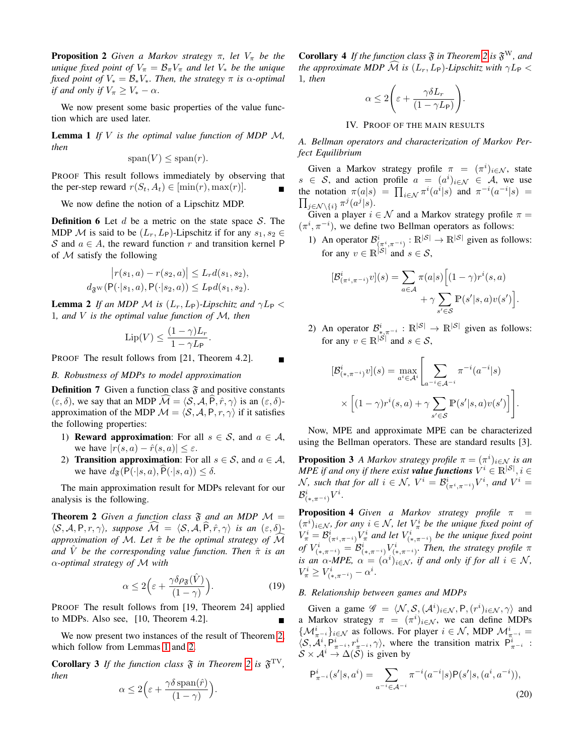**Proposition 2** *Given a Markov strategy*  $\pi$ *, let*  $V_{\pi}$  *be the unique fixed point of*  $V_{\pi} = \mathcal{B}_{\pi} V_{\pi}$  *and let*  $V_{\ast}$  *be the unique fixed point of*  $V_* = \mathcal{B}_*V_*$ *. Then, the strategy*  $\pi$  *is*  $\alpha$ -*optimal if and only if*  $V_\pi \geq V_* - \alpha$ .

We now present some basic properties of the value function which are used later.

<span id="page-4-4"></span>Lemma 1 *If* V *is the optimal value function of MDP* M*, then*

$$
\mathrm{span}(V) \le \mathrm{span}(r).
$$

PROOF This result follows immediately by observing that the per-step reward  $r(S_t, A_t) \in [\min(r), \max(r)].$ 

We now define the notion of a Lipschitz MDP.

**Definition 6** Let d be a metric on the state space  $S$ . The MDP M is said to be  $(L_r, L_\mathsf{P})$ -Lipschitz if for any  $s_1, s_2 \in$ S and  $a \in A$ , the reward function r and transition kernel P of  $M$  satisfy the following

$$
|r(s_1, a) - r(s_2, a)| \le L_r d(s_1, s_2),
$$
  

$$
d_{\mathfrak{F}^{\mathbf{W}}}(\mathsf{P}(\cdot|s_1, a), \mathsf{P}(\cdot|s_2, a)) \le L_{\mathsf{P}} d(s_1, s_2).
$$

<span id="page-4-5"></span>**Lemma 2** *If an MDP M is*  $(L_r, L_p)$ *-Lipschitz and*  $\gamma L_p$  < 1*, and* V *is the optimal value function of* M*, then*

$$
\operatorname{Lip}(V) \le \frac{(1-\gamma)L_r}{1-\gamma L_{\mathsf{P}}}.
$$

PROOF The result follows from [21, Theorem 4.2].

*B. Robustness of MDPs to model approximation*

**Definition 7** Given a function class  $\tilde{\mathbf{r}}$  and positive constants  $(\varepsilon, \delta)$ , we say that an MDP  $\widehat{\mathcal{M}} = \langle \mathcal{S}, \mathcal{A}, \widehat{P}, \hat{r}, \gamma \rangle$  is an  $(\varepsilon, \delta)$ approximation of the MDP  $\mathcal{M} = \langle \mathcal{S}, \mathcal{A}, P, r, \gamma \rangle$  if it satisfies the following properties:

- 1) **Reward approximation:** For all  $s \in S$ , and  $a \in A$ , we have  $|r(s, a) - \hat{r}(s, a)| \leq \varepsilon$ .
- 2) **Transition approximation:** For all  $s \in S$ , and  $a \in A$ , we have  $d_{\mathfrak{F}}(P(\cdot|s, a), \widehat{P}(\cdot|s, a)) \leq \delta$ .

The main approximation result for MDPs relevant for our analysis is the following.

**Theorem 2** Given a function class  $\mathfrak{F}$  and an MDP  $\mathcal{M} =$  $\langle \mathcal{S}, \mathcal{A}, P, r, \gamma \rangle$ *, suppose*  $\mathcal{M} = \langle \mathcal{S}, \mathcal{A}, \hat{P}, \hat{r}, \gamma \rangle$  *is an*  $(\varepsilon, \delta)$ *approximation of* M. Let  $\hat{\pi}$  be the optimal strategy of  $\widehat{\mathcal{M}}$ *and*  $\hat{V}$  *be the corresponding value function. Then*  $\hat{\pi}$  *is an* α*-optimal strategy of* M *with*

<span id="page-4-3"></span>
$$
\alpha \le 2\Big(\varepsilon + \frac{\gamma \delta \rho_{\mathfrak{F}}(\hat{V})}{(1-\gamma)}\Big). \tag{19}
$$

PROOF The result follows from [19, Theorem 24] applied to MDPs. Also see, [10, Theorem 4.2].

We now present two instances of the result of Theorem [2,](#page-4-3) which follow from Lemmas [1](#page-4-4) and [2.](#page-4-5)

<span id="page-4-7"></span><span id="page-4-6"></span>**Corollary 3** If the function class  $\mathfrak{F}$  in Theorem [2](#page-4-3) is  $\mathfrak{F}^{\text{TV}}$ , *then*

$$
\alpha \le 2\Big(\varepsilon + \frac{\gamma \delta \operatorname{span}(\hat{r})}{(1 - \gamma)}\Big).
$$

**Corollary 4** If the function class  $\mathfrak{F}$  in Theorem [2](#page-4-3) is  $\mathfrak{F}^W$ , and *the approximate MDP*  $\widehat{\mathcal{M}}$  *is*  $(L_r, L_P)$ *-Lipschitz with*  $\gamma L_P <$ 1*, then*

$$
\alpha \le 2\left(\varepsilon + \frac{\gamma \delta L_r}{(1 - \gamma L_{\mathsf{P}})}\right).
$$

IV. PROOF OF THE MAIN RESULTS

<span id="page-4-0"></span>*A. Bellman operators and characterization of Markov Perfect Equilibrium*

Given a Markov strategy profile  $\pi = (\pi^i)_{i \in \mathcal{N}}$ , state  $s \in S$ , and action profile  $a = (a^i)_{i \in \mathcal{N}} \in A$ , we use the notation  $\pi(a|s) = \prod_{i \in \mathcal{N}} \pi^i(a^i|s)$  and  $\pi^{-i}(a^{-i}|s) =$  $\prod_{j \in \mathcal{N} \setminus \{i\}} \pi^j(a^j|s)$ .

Given a player  $i \in \mathcal{N}$  and a Markov strategy profile  $\pi =$  $(\pi^i, \pi^{-i})$ , we define two Bellman operators as follows:

1) An operator  $\mathcal{B}^i_{(\pi^i, \pi^{-i})}: \mathbb{R}^{|\mathcal{S}|} \to \mathbb{R}^{|\mathcal{S}|}$  given as follows: for any  $v \in \mathbb{R}^{|S|}$  and  $s \in S$ ,

$$
[\mathcal{B}^i_{(\pi^i, \pi^{-i})} v](s) = \sum_{a \in \mathcal{A}} \pi(a|s) \Big[ (1 - \gamma) r^i(s, a) + \gamma \sum_{s' \in \mathcal{S}} \mathbb{P}(s'|s, a) v(s') \Big].
$$

2) An operator  $\mathcal{B}_{*,\pi^{-i}}^i : \mathbb{R}^{|\mathcal{S}|} \to \mathbb{R}^{|\mathcal{S}|}$  given as follows: for any  $v \in \mathbb{R}^{|\mathcal{S}|}$  and  $s \in \mathcal{S}$ ,

$$
[\mathcal{B}_{(*,\pi^{-i})}^i v](s) = \max_{a^i \in \mathcal{A}^i} \left[ \sum_{a^{-i} \in \mathcal{A}^{-i}} \pi^{-i}(a^{-i}|s) \times \left[ (1-\gamma)r^i(s,a) + \gamma \sum_{s' \in \mathcal{S}} \mathbb{P}(s'|s,a)v(s') \right] \right].
$$

Now, MPE and approximate MPE can be characterized using the Bellman operators. These are standard results [3].

<span id="page-4-1"></span>**Proposition 3** *A Markov strategy profile*  $\pi = (\pi^i)_{i \in \mathcal{N}}$  *is an MPE if and ony if there exist value functions*  $V^i \in \mathbb{R}^{|S|}$ ,  $i \in$  $\mathcal{N}$ *, such that for all*  $i \in \mathcal{N}$ *,*  $V^i = \mathcal{B}^i_{(\pi^i, \pi^{-i})} V^i$ *, and*  $V^i =$  $\mathcal{B}^i_{(*,\pi^{-i})}V^i.$ 

<span id="page-4-2"></span>**Proposition 4** *Given a Markov strategy profile*  $\pi$  =  $(\pi^i)_{i \in \mathcal{N}}$ , for any  $i \in \mathcal{N}$ , let  $V^i_{\pi}$  be the unique fixed point of  $V^i_\pi = \mathcal{B}^i_{(\pi^i, \pi^{-i})} V^i_\pi$  and let  $V^i_{(*, \pi^{-i})}$  be the unique fixed point of  $V^i_{(*,\pi^{-i})} = \mathcal{B}^i_{(*,\pi^{-i})} V^i_{(*,\pi^{-i})}$ . Then, the strategy profile  $\pi$ *is an*  $\alpha$ -*MPE*,  $\alpha = (\alpha^i)_{i \in \mathcal{N}}$ , *if and only if for all*  $i \in \mathcal{N}$ ,  $V^i_{\pi} \geq V^i_{(*,\pi^{-i})} - \alpha^i.$ 

## *B. Relationship between games and MDPs*

Given a game  $\mathscr{G} = \langle \mathcal{N}, \mathcal{S}, (\mathcal{A}^i)_{i \in \mathcal{N}}, P, (r^i)_{i \in \mathcal{N}}, \gamma \rangle$  and a Markov strategy  $\pi = (\pi^i)_{i \in \mathcal{N}}$ , we can define MDPs  $\{\mathcal{M}_{\pi^{-i}}^i\}_{i\in\mathcal{N}}$  as follows. For player  $i \in \mathcal{N}$ , MDP  $\mathcal{M}_{\pi^{-i}}^i =$  $\langle S, \mathcal{A}^i, P^i_{\pi^{-i}}, r^i_{\pi^{-i}}, \gamma \rangle$ , where the transition matrix  $P^i_{\pi^{-i}}$ :  $S \times \mathcal{A}^i \to \Delta(\mathcal{S})$  is given by

$$
P_{\pi^{-i}}^{i}(s'|s, a^{i}) = \sum_{a^{-i} \in \mathcal{A}^{-i}} \pi^{-i}(a^{-i}|s)P(s'|s, (a^{i}, a^{-i})),
$$
\n(20)